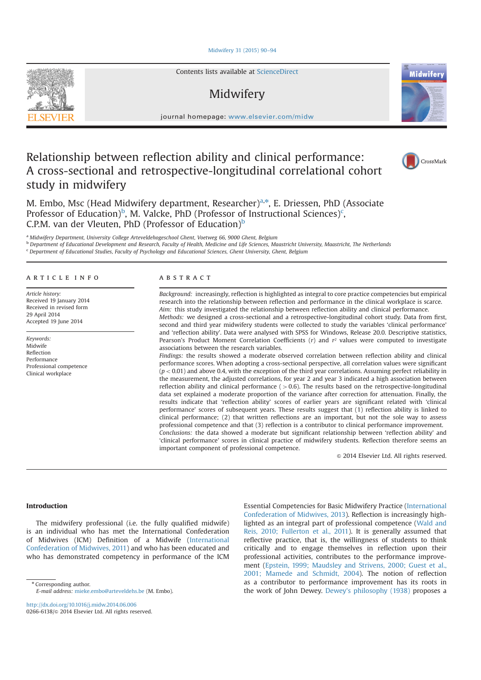Midwifery 31 (2015) 90–94



Contents lists available at ScienceDirect

# Midwifery



journal homepage: www.elsevier.com/midw

# Relationship between reflection ability and clinical performance: A cross-sectional and retrospective-longitudinal correlational cohort study in midwifery



M. Embo, Msc (Head Midwifery department, Researcher)<sup>a,\*</sup>, E. Driessen, PhD (Associate Professor of Education)<sup>b</sup>, M. Valcke, PhD (Professor of Instructional Sciences)<sup>c</sup>, C.P.M. van der Vleuten, PhD (Professor of Education)<sup>b</sup>

a Midwifery Department, University College Arteveldehogeschool Ghent, Voetweg 66, 9000 Ghent, Belgium

<sup>b</sup> Department of Educational Development and Research, Faculty of Health, Medicine and Life Sciences, Maastricht University, Maastricht, The Netherlands

important component of professional competence.

<sup>c</sup> Department of Educational Studies, Faculty of Psychology and Educational Sciences, Ghent University, Ghent, Belgium

## article info

Article history: Received 19 January 2014 Received in revised form 29 April 2014 Accepted 19 June 2014

Keywords: Midwife Reflection Performance Professional competence Clinical workplace

## **ABSTRACT**

Background: increasingly, reflection is highlighted as integral to core practice competencies but empirical research into the relationship between reflection and performance in the clinical workplace is scarce. Aim: this study investigated the relationship between reflection ability and clinical performance. Methods: we designed a cross-sectional and a retrospective-longitudinal cohort study. Data from first, second and third year midwifery students were collected to study the variables 'clinical performance' and 'reflection ability'. Data were analysed with SPSS for Windows, Release 20.0. Descriptive statistics, Pearson's Product Moment Correlation Coefficients  $(r)$  and  $r<sup>2</sup>$  values were computed to investigate associations between the research variables. Findings: the results showed a moderate observed correlation between reflection ability and clinical performance scores. When adopting a cross-sectional perspective, all correlation values were significant  $(p<0.01)$  and above 0.4, with the exception of the third year correlations. Assuming perfect reliability in the measurement, the adjusted correlations, for year 2 and year 3 indicated a high association between reflection ability and clinical performance  $(>0.6)$ . The results based on the retrospective-longitudinal data set explained a moderate proportion of the variance after correction for attenuation. Finally, the results indicate that 'reflection ability' scores of earlier years are significant related with 'clinical performance' scores of subsequent years. These results suggest that (1) reflection ability is linked to clinical performance; (2) that written reflections are an important, but not the sole way to assess

professional competence and that (3) reflection is a contributor to clinical performance improvement. Conclusions: the data showed a moderate but significant relationship between 'reflection ability' and 'clinical performance' scores in clinical practice of midwifery students. Reflection therefore seems an

 $\odot$  2014 Elsevier Ltd. All rights reserved.

# Introduction

The midwifery professional (i.e. the fully qualified midwife) is an individual who has met the International Confederation of Midwives (ICM) Definition of a Midwife (International Confederation of Midwives, 2011) and who has been educated and who has demonstrated competency in performance of the ICM

Essential Competencies for Basic Midwifery Practice (International Confederation of Midwives, 2013). Reflection is increasingly highlighted as an integral part of professional competence (Wald and Reis, 2010; Fullerton et al., 2011). It is generally assumed that reflective practice, that is, the willingness of students to think critically and to engage themselves in reflection upon their professional activities, contributes to the performance improvement (Epstein, 1999; Maudsley and Strivens, 2000; Guest et al., 2001; Mamede and Schmidt, 2004). The notion of reflection as a contributor to performance improvement has its roots in the work of John Dewey. Dewey's philosophy (1938) proposes a

\* Corresponding author. E-mail address: mieke.embo@arteveldehs.be (M. Embo).

http://dx.doi.org/10.1016/j.midw.2014.06.006 0266-6138/© 2014 Elsevier Ltd. All rights reserved.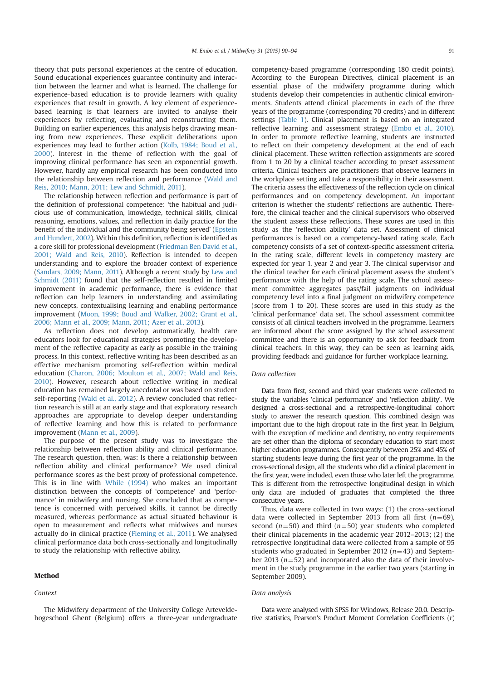theory that puts personal experiences at the centre of education. Sound educational experiences guarantee continuity and interaction between the learner and what is learned. The challenge for experience-based education is to provide learners with quality experiences that result in growth. A key element of experiencebased learning is that learners are invited to analyse their experiences by reflecting, evaluating and reconstructing them. Building on earlier experiences, this analysis helps drawing meaning from new experiences. These explicit deliberations upon experiences may lead to further action (Kolb, 1984; Boud et al., 2000). Interest in the theme of reflection with the goal of improving clinical performance has seen an exponential growth. However, hardly any empirical research has been conducted into the relationship between reflection and performance (Wald and Reis, 2010; Mann, 2011; Lew and Schmidt, 2011).

The relationship between reflection and performance is part of the definition of professional competence: 'the habitual and judicious use of communication, knowledge, technical skills, clinical reasoning, emotions, values, and reflection in daily practice for the benefit of the individual and the community being served' (Epstein and Hundert, 2002). Within this definition, reflection is identified as a core skill for professional development (Friedman Ben David et al., 2001; Wald and Reis, 2010). Reflection is intended to deepen understanding and to explore the broader context of experience (Sandars, 2009; Mann, 2011). Although a recent study by Lew and Schmidt (2011) found that the self-reflection resulted in limited improvement in academic performance, there is evidence that reflection can help learners in understanding and assimilating new concepts, contextualising learning and enabling performance improvement (Moon, 1999; Boud and Walker, 2002; Grant et al., 2006; Mann et al., 2009; Mann, 2011; Azer et al., 2013).

As reflection does not develop automatically, health care educators look for educational strategies promoting the development of the reflective capacity as early as possible in the training process. In this context, reflective writing has been described as an effective mechanism promoting self-reflection within medical education (Charon, 2006; Moulton et al., 2007; Wald and Reis, 2010). However, research about reflective writing in medical education has remained largely anecdotal or was based on student self-reporting (Wald et al., 2012). A review concluded that reflection research is still at an early stage and that exploratory research approaches are appropriate to develop deeper understanding of reflective learning and how this is related to performance improvement (Mann et al., 2009).

The purpose of the present study was to investigate the relationship between reflection ability and clinical performance. The research question, then, was: Is there a relationship between reflection ability and clinical performance? We used clinical performance scores as the best proxy of professional competence. This is in line with While (1994) who makes an important distinction between the concepts of 'competence' and 'performance' in midwifery and nursing. She concluded that as competence is concerned with perceived skills, it cannot be directly measured, whereas performance as actual situated behaviour is open to measurement and reflects what midwives and nurses actually do in clinical practice (Fleming et al., 2011). We analysed clinical performance data both cross-sectionally and longitudinally to study the relationship with reflective ability.

### Method

#### Context

The Midwifery department of the University College Arteveldehogeschool Ghent (Belgium) offers a three-year undergraduate competency-based programme (corresponding 180 credit points). According to the European Directives, clinical placement is an essential phase of the midwifery programme during which students develop their competencies in authentic clinical environments. Students attend clinical placements in each of the three years of the programme (corresponding 70 credits) and in different settings (Table 1). Clinical placement is based on an integrated reflective learning and assessment strategy (Embo et al., 2010). In order to promote reflective learning, students are instructed to reflect on their competency development at the end of each clinical placement. These written reflection assignments are scored from 1 to 20 by a clinical teacher according to preset assessment criteria. Clinical teachers are practitioners that observe learners in the workplace setting and take a responsibility in their assessment. The criteria assess the effectiveness of the reflection cycle on clinical performances and on competency development. An important criterion is whether the students' reflections are authentic. Therefore, the clinical teacher and the clinical supervisors who observed the student assess these reflections. These scores are used in this study as the 'reflection ability' data set. Assessment of clinical performances is based on a competency-based rating scale. Each competency consists of a set of context-specific assessment criteria. In the rating scale, different levels in competency mastery are expected for year 1, year 2 and year 3. The clinical supervisor and the clinical teacher for each clinical placement assess the student's performance with the help of the rating scale. The school assessment committee aggregates pass/fail judgments on individual competency level into a final judgment on midwifery competence (score from 1 to 20). These scores are used in this study as the 'clinical performance' data set. The school assessment committee consists of all clinical teachers involved in the programme. Learners are informed about the score assigned by the school assessment committee and there is an opportunity to ask for feedback from clinical teachers. In this way, they can be seen as learning aids, providing feedback and guidance for further workplace learning.

# Data collection

Data from first, second and third year students were collected to study the variables 'clinical performance' and 'reflection ability'. We designed a cross-sectional and a retrospective-longitudinal cohort study to answer the research question. This combined design was important due to the high dropout rate in the first year. In Belgium, with the exception of medicine and dentistry, no entry requirements are set other than the diploma of secondary education to start most higher education programmes. Consequently between 25% and 45% of starting students leave during the first year of the programme. In the cross-sectional design, all the students who did a clinical placement in the first year, were included, even those who later left the programme. This is different from the retrospective longitudinal design in which only data are included of graduates that completed the three consecutive years.

Thus, data were collected in two ways: (1) the cross-sectional data were collected in September 2013 from all first ( $n=69$ ), second ( $n=50$ ) and third ( $n=50$ ) year students who completed their clinical placements in the academic year 2012–2013; (2) the retrospective longitudinal data were collected from a sample of 95 students who graduated in September 2012  $(n=43)$  and September 2013 ( $n=52$ ) and incorporated also the data of their involvement in the study programme in the earlier two years (starting in September 2009).

### Data analysis

Data were analysed with SPSS for Windows, Release 20.0. Descriptive statistics, Pearson's Product Moment Correlation Coefficients (r)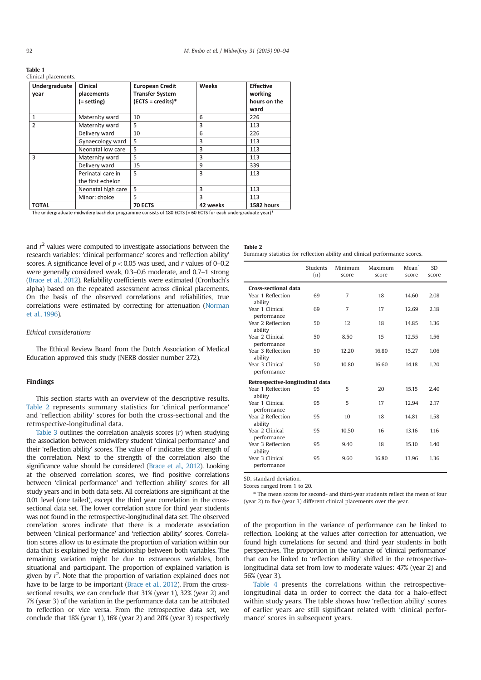| Undergraduate<br>year | Clinical<br>placements<br>$( = setting)$ | <b>European Credit</b><br><b>Transfer System</b><br>$(ECTS = credits)*$ | Weeks    | Effective<br>working<br>hours on the<br>ward |
|-----------------------|------------------------------------------|-------------------------------------------------------------------------|----------|----------------------------------------------|
| 1                     | Maternity ward                           | 10                                                                      | 6        | 226                                          |
| $\overline{2}$        | Maternity ward                           | 5                                                                       | 3        | 113                                          |
|                       | Delivery ward                            | 10                                                                      | 6        | 226                                          |
|                       | Gynaecology ward                         | 5                                                                       | 3        | 113                                          |
|                       | Neonatal low care                        | 5                                                                       | 3        | 113                                          |
| 3                     | Maternity ward                           | 5                                                                       | 3        | 113                                          |
|                       | Delivery ward                            | 15                                                                      | 9        | 339                                          |
|                       | Perinatal care in<br>the first echelon   | 5                                                                       | 3        | 113                                          |
|                       | Neonatal high care                       | 5                                                                       | 3        | 113                                          |
|                       | Minor: choice                            | 5                                                                       | 3        | 113                                          |
| <b>TOTAL</b>          |                                          | 70 ECTS                                                                 | 42 weeks | 1582 hours                                   |

The undergraduate midwifery bachelor programme consists of 180 ECTS (= 60 ECTS for each undergraduate year)\*

and  $r<sup>2</sup>$  values were computed to investigate associations between the research variables: 'clinical performance' scores and 'reflection ability' scores. A significance level of  $p < 0.05$  was used, and r values of 0–0.2 were generally considered weak, 0.3–0.6 moderate, and 0.7–1 strong (Brace et al., 2012). Reliability coefficients were estimated (Cronbach's alpha) based on the repeated assessment across clinical placements. On the basis of the observed correlations and reliabilities, true correlations were estimated by correcting for attenuation (Norman et al., 1996).

# Ethical considerations

The Ethical Review Board from the Dutch Association of Medical Education approved this study (NERB dossier number 272).

## Findings

This section starts with an overview of the descriptive results. Table 2 represents summary statistics for 'clinical performance' and 'reflection ability' scores for both the cross-sectional and the retrospective-longitudinal data.

Table 3 outlines the correlation analysis scores  $(r)$  when studying the association between midwifery student 'clinical performance' and their 'reflection ability' scores. The value of  $r$  indicates the strength of the correlation. Next to the strength of the correlation also the significance value should be considered (Brace et al., 2012). Looking at the observed correlation scores, we find positive correlations between 'clinical performance' and 'reflection ability' scores for all study years and in both data sets. All correlations are significant at the 0.01 level (one tailed), except the third year correlation in the crosssectional data set. The lower correlation score for third year students was not found in the retrospective-longitudinal data set. The observed correlation scores indicate that there is a moderate association between 'clinical performance' and 'reflection ability' scores. Correlation scores allow us to estimate the proportion of variation within our data that is explained by the relationship between both variables. The remaining variation might be due to extraneous variables, both situational and participant. The proportion of explained variation is given by  $r^2$ . Note that the proportion of variation explained does not have to be large to be important (Brace et al., 2012). From the crosssectional results, we can conclude that 31% (year 1), 32% (year 2) and 7% (year 3) of the variation in the performance data can be attributed to reflection or vice versa. From the retrospective data set, we conclude that 18% (year 1), 16% (year 2) and 20% (year 3) respectively

| חור<br>$\sim$<br>---- |  |
|-----------------------|--|
|                       |  |

Summary statistics for reflection ability and clinical performance scores.

|                                 | Students<br>(n) | Minimum<br>score | Maximum<br>score | Mean <sup>7</sup><br>score | <b>SD</b><br>score |  |  |  |
|---------------------------------|-----------------|------------------|------------------|----------------------------|--------------------|--|--|--|
| <b>Cross-sectional data</b>     |                 |                  |                  |                            |                    |  |  |  |
| Year 1 Reflection<br>ability    | 69              | 7                | 18               | 14.60                      | 2.08               |  |  |  |
| Year 1 Clinical<br>performance  | 69              | 7                | 17               | 12.69                      | 2.18               |  |  |  |
| Year 2 Reflection<br>ability    | 50              | 12               | 18               | 14.85                      | 1.36               |  |  |  |
| Year 2 Clinical<br>performance  | 50              | 8.50             | 15               | 12.55                      | 1.56               |  |  |  |
| Year 3 Reflection<br>ability    | 50              | 12.20            | 16.80            | 15.27                      | 1.06               |  |  |  |
| Year 3 Clinical<br>performance  | 50              | 10.80            | 16.60            | 14.18                      | 1.20               |  |  |  |
| Retrospective-longitudinal data |                 |                  |                  |                            |                    |  |  |  |
| Year 1 Reflection<br>ability    | 95              | 5                | 20               | 15.15                      | 2.40               |  |  |  |
| Year 1 Clinical<br>performance  | 95              | 5                | 17               | 12.94                      | 2.17               |  |  |  |
| Year 2 Reflection<br>ability    | 95              | 10               | 18               | 14.81                      | 1.58               |  |  |  |
| Year 2 Clinical<br>performance  | 95              | 10.50            | 16               | 13.16                      | 1.16               |  |  |  |
| Year 3 Reflection<br>ability    | 95              | 9.40             | 18               | 15.10                      | 1.40               |  |  |  |
| Year 3 Clinical<br>performance  | 95              | 9.60             | 16.80            | 13.96                      | 1.36               |  |  |  |

SD, standard deviation.

Scores ranged from 1 to 20.

\* The mean scores for second- and third-year students reflect the mean of four (year 2) to five (year 3) different clinical placements over the year.

of the proportion in the variance of performance can be linked to reflection. Looking at the values after correction for attenuation, we found high correlations for second and third year students in both perspectives. The proportion in the variance of 'clinical performance' that can be linked to 'reflection ability' shifted in the retrospectivelongitudinal data set from low to moderate values: 47% (year 2) and 56% (year 3).

Table 4 presents the correlations within the retrospectivelongitudinal data in order to correct the data for a halo-effect within study years. The table shows how 'reflection ability' scores of earlier years are still significant related with 'clinical performance' scores in subsequent years.

Table 1

Clinical placements.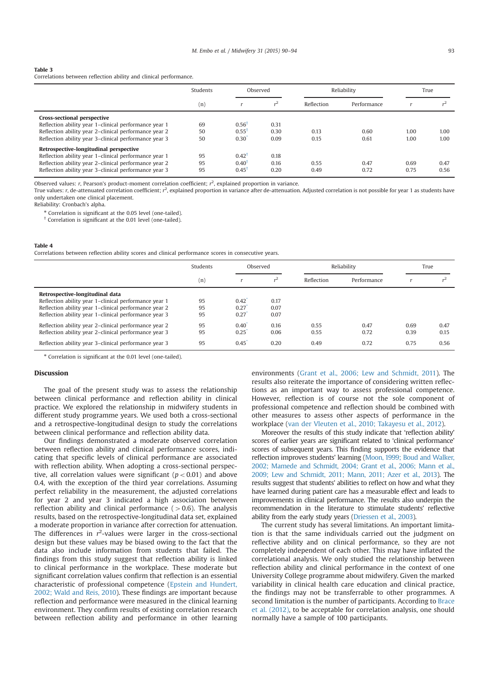#### Table 3

Correlations between reflection ability and clinical performance.

|                                                       | Students | Observed            |      | Reliability |             | True |      |
|-------------------------------------------------------|----------|---------------------|------|-------------|-------------|------|------|
|                                                       | (n)      |                     | n    | Reflection  | Performance |      |      |
| Cross-sectional perspective                           |          |                     |      |             |             |      |      |
| Reflection ability year 1-clinical performance year 1 | 69       | $0.56$ <sup>T</sup> | 0.31 |             |             |      |      |
| Reflection ability year 2–clinical performance year 2 | 50       | $0.55^{\dagger}$    | 0.30 | 0.13        | 0.60        | 1.00 | 1.00 |
| Reflection ability year 3-clinical performance year 3 | 50       | 0.30                | 0.09 | 0.15        | 0.61        | 1.00 | 1.00 |
| Retrospective-longitudinal perspective                |          |                     |      |             |             |      |      |
| Reflection ability year 1-clinical performance year 1 | 95       | $0.42^{\dagger}$    | 0.18 |             |             |      |      |
| Reflection ability year 2-clinical performance year 2 | 95       | $0.40^{\dagger}$    | 0.16 | 0.55        | 0.47        | 0.69 | 0.47 |
| Reflection ability year 3-clinical performance year 3 | 95       | $0.45$ <sup>1</sup> | 0.20 | 0.49        | 0.72        | 0.75 | 0.56 |

Observed values:  $r$ , Pearson's product-moment correlation coefficient;  $r^2$ , explained proportion in variance.

True values: r, de-attenuated correlation coefficient;  $r^2$ , explained proportion in variance after de-attenuation. Adjusted correlation is not possible for year 1 as students have only undertaken one clinical placement.

Reliability: Cronbach's alpha.

\* Correlation is significant at the 0.05 level (one-tailed).

† Correlation is significant at the 0.01 level (one-tailed).

## Table 4

Correlations between reflection ability scores and clinical performance scores in consecutive years.

|                                                       | Students | Observed   |      | Reliability |             | True |      |
|-------------------------------------------------------|----------|------------|------|-------------|-------------|------|------|
|                                                       | (n)      |            |      | Reflection  | Performance |      |      |
| Retrospective-longitudinal data                       |          |            |      |             |             |      |      |
| Reflection ability year 1–clinical performance year 1 | 95       | 0.42       | 0.17 |             |             |      |      |
| Reflection ability year 1-clinical performance year 2 | 95       | 0.27       | 0.07 |             |             |      |      |
| Reflection ability year 1–clinical performance year 3 | 95       | 0.27       | 0.07 |             |             |      |      |
| Reflection ability year 2–clinical performance year 2 | 95       | $0.40^{1}$ | 0.16 | 0.55        | 0.47        | 0.69 | 0.47 |
| Reflection ability year 2–clinical performance year 3 | 95       | 0.25       | 0.06 | 0.55        | 0.72        | 0.39 | 0.15 |
| Reflection ability year 3–clinical performance year 3 | 95       | 0.45       | 0.20 | 0.49        | 0.72        | 0.75 | 0.56 |

\* Correlation is significant at the 0.01 level (one-tailed).

#### Discussion

The goal of the present study was to assess the relationship between clinical performance and reflection ability in clinical practice. We explored the relationship in midwifery students in different study programme years. We used both a cross-sectional and a retrospective-longitudinal design to study the correlations between clinical performance and reflection ability data.

Our findings demonstrated a moderate observed correlation between reflection ability and clinical performance scores, indicating that specific levels of clinical performance are associated with reflection ability. When adopting a cross-sectional perspective, all correlation values were significant ( $p < 0.01$ ) and above 0.4, with the exception of the third year correlations. Assuming perfect reliability in the measurement, the adjusted correlations for year 2 and year 3 indicated a high association between reflection ability and clinical performance  $(>0.6)$ . The analysis results, based on the retrospective-longitudinal data set, explained a moderate proportion in variance after correction for attenuation. The differences in  $r^2$ -values were larger in the cross-sectional design but these values may be biased owing to the fact that the data also include information from students that failed. The findings from this study suggest that reflection ability is linked to clinical performance in the workplace. These moderate but significant correlation values confirm that reflection is an essential characteristic of professional competence (Epstein and Hundert, 2002; Wald and Reis, 2010). These findings are important because reflection and performance were measured in the clinical learning environment. They confirm results of existing correlation research between reflection ability and performance in other learning environments (Grant et al., 2006; Lew and Schmidt, 2011). The results also reiterate the importance of considering written reflections as an important way to assess professional competence. However, reflection is of course not the sole component of professional competence and reflection should be combined with other measures to assess other aspects of performance in the workplace (van der Vleuten et al., 2010; Takayesu et al., 2012).

Moreover the results of this study indicate that 'reflection ability' scores of earlier years are significant related to 'clinical performance' scores of subsequent years. This finding supports the evidence that reflection improves students' learning (Moon, 1999; Boud and Walker, 2002; Mamede and Schmidt, 2004; Grant et al., 2006; Mann et al., 2009; Lew and Schmidt, 2011; Mann, 2011; Azer et al., 2013). The results suggest that students' abilities to reflect on how and what they have learned during patient care has a measurable effect and leads to improvements in clinical performance. The results also underpin the recommendation in the literature to stimulate students' reflective ability from the early study years (Driessen et al., 2003).

The current study has several limitations. An important limitation is that the same individuals carried out the judgment on reflective ability and on clinical performance, so they are not completely independent of each other. This may have inflated the correlational analysis. We only studied the relationship between reflection ability and clinical performance in the context of one University College programme about midwifery. Given the marked variability in clinical health care education and clinical practice, the findings may not be transferrable to other programmes. A second limitation is the number of participants. According to Brace et al. (2012), to be acceptable for correlation analysis, one should normally have a sample of 100 participants.